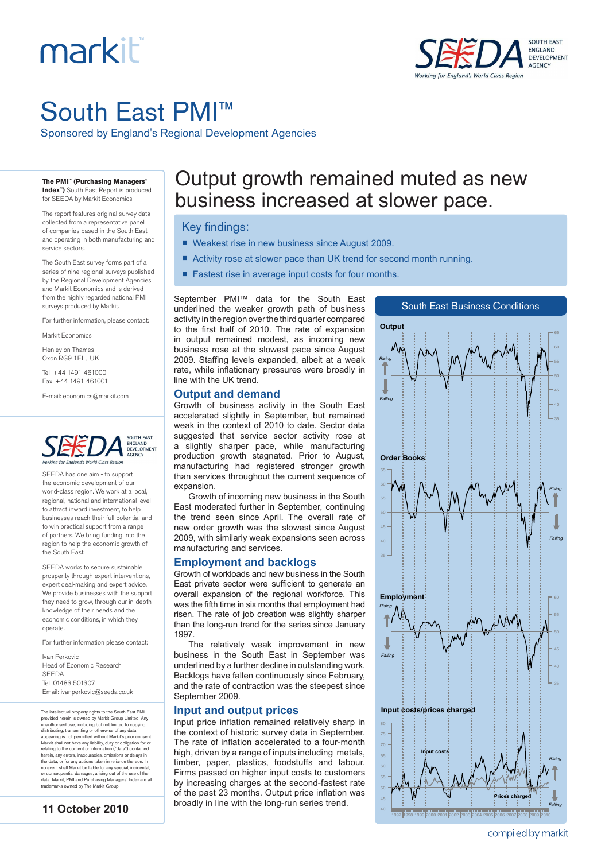# markiti



## South East PMI™

Sponsored by England's Regional Development Agencies

**The PMI™ (Purchasing Managers' Index™)** South East Report is produced

for SEEDA by Markit Economics.

The report features original survey data collected from a representative panel of companies based in the South East and operating in both manufacturing and service sectors.

The South East survey forms part of a series of nine regional surveys published by the Regional Development Agencies and Markit Economics and is derived from the highly regarded national PMI surveys produced by Markit.

For further information, please contact:

Markit Economics

Henley on Thames Oxon RG9 1EL, UK

Tel: +44 1491 461000

Fax: +44 1491 461001

E-mail: economics@markit.com



SEEDA has one aim - to support the economic development of our world-class region. We work at a local, regional, national and international level to attract inward investment, to help businesses reach their full potential and to win practical support from a range of partners. We bring funding into the region to help the economic growth of the South East.

SEEDA works to secure sustainable prosperity through expert interventions, expert deal-making and expert advice. We provide businesses with the support they need to grow, through our in-depth knowledge of their needs and the economic conditions, in which they operate.

For further information please contact:

Ivan Perkovic Head of Economic Research SEEDA Tel: 01483 501307 Email: ivanperkovic@seeda.co.uk

The intellectual property rights to the South East PMI provided herein is owned by Markit Group Limited. Any<br>unauthorised use, including but not limited to copying,<br>distributing, transmitting or otherwise of any data<br>appearing is not permitted without Markit's prior consent.<br>M herein, any errors, inaccuracies, omissions or delays in the data, or for any actions taken in reliance thereon. In no event shall Markit be liable for any special, incidental, or consequential damages, arising out of the use of the data. Markit, PMI and Purchasing Managers' Index are all trademarks owned by The Markit Group.



### Output growth remained muted as new business increased at slower pace.

#### Key findings:

- Weakest rise in new business since August 2009.
- Activity rose at slower pace than UK trend for second month running.
- Fastest rise in average input costs for four months.

September PMI™ data for the South East underlined the weaker growth path of business activity in the region over the third quarter compared to the first half of 2010. The rate of expansion in output remained modest, as incoming new business rose at the slowest pace since August 2009. Staffing levels expanded, albeit at a weak rate, while inflationary pressures were broadly in line with the UK trend.

#### **Output and demand**

Growth of business activity in the South East accelerated slightly in September, but remained weak in the context of 2010 to date. Sector data suggested that service sector activity rose at a slightly sharper pace, while manufacturing production growth stagnated. Prior to August, manufacturing had registered stronger growth than services throughout the current sequence of expansion

Growth of incoming new business in the South East moderated further in September, continuing the trend seen since April. The overall rate of new order growth was the slowest since August 2009, with similarly weak expansions seen across manufacturing and services.

#### **Employment and backlogs**

Growth of workloads and new business in the South East private sector were sufficient to generate an overall expansion of the regional workforce. This was the fifth time in six months that employment had risen. The rate of job creation was slightly sharper than the long-run trend for the series since January 1997.

The relatively weak improvement in new business in the South East in September was underlined by a further decline in outstanding work. Backlogs have fallen continuously since February, and the rate of contraction was the steepest since September 2009.

#### **Input and output prices**

Input price inflation remained relatively sharp in the context of historic survey data in September. The rate of inflation accelerated to a four-month high, driven by a range of inputs including metals, timber, paper, plastics, foodstuffs and labour. Firms passed on higher input costs to customers by increasing charges at the second-fastest rate of the past 23 months. Output price inflation was broadly in line with the long-run series trend.



compiled by markit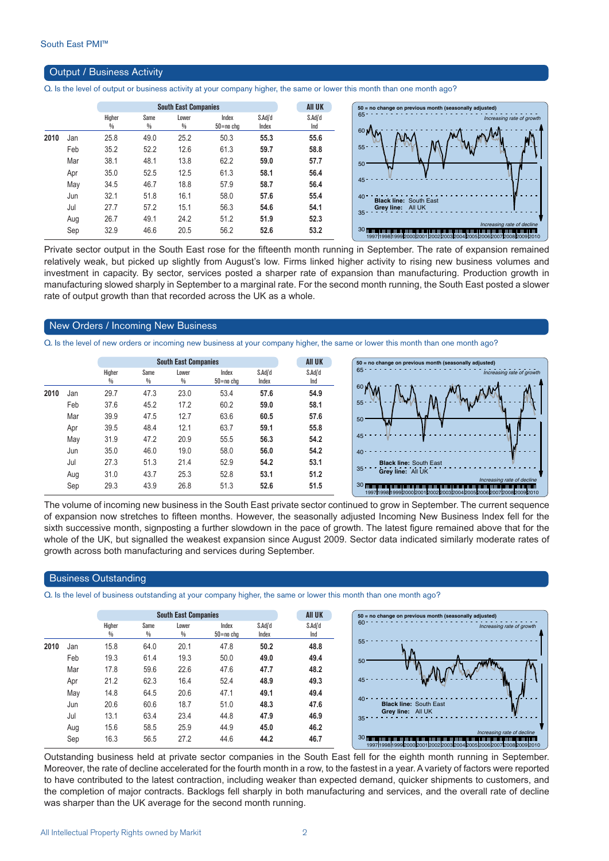#### Output / Business Activity

Q. Is the level of output or business activity at your company higher, the same or lower this month than one month ago?

|      |     |             |           | <b>South East Companies</b> |                    |                  | AII UK         | $50 = no$ change on previous month (seasonally adjusted)                                                                                                                                 |
|------|-----|-------------|-----------|-----------------------------|--------------------|------------------|----------------|------------------------------------------------------------------------------------------------------------------------------------------------------------------------------------------|
|      |     | Higher<br>₩ | Same<br>₩ | Lower<br>₩                  | Index<br>50=no cha | S.Adj'd<br>Index | S.Adj'd<br>Ind | 65<br>Increasing rate of growth                                                                                                                                                          |
| 2010 | Jan | 25.8        | 49.0      | 25.2                        | 50.3               | 55.3             | 55.6           | 60%                                                                                                                                                                                      |
|      | Feb | 35.2        | 52.2      | 12.6                        | 61.3               | 59.7             | 58.8           | $55 -$                                                                                                                                                                                   |
|      | Mar | 38.1        | 48.1      | 13.8                        | 62.2               | 59.0             | 57.7           | 50                                                                                                                                                                                       |
|      | Apr | 35.0        | 52.5      | 12.5                        | 61.3               | 58.1             | 56.4           |                                                                                                                                                                                          |
|      | May | 34.5        | 46.7      | 18.8                        | 57.9               | 58.7             | 56.4           | 45                                                                                                                                                                                       |
|      | Jun | 32.1        | 51.8      | 16.1                        | 58.0               | 57.6             | 55.4           | $40 -$<br><b>Black line: South East</b>                                                                                                                                                  |
|      | Jul | 27.7        | 57.2      | 15.1                        | 56.3               | 54.6             | 54.1           | Grey line: All UK                                                                                                                                                                        |
|      | Aug | 26.7        | 49.1      | 24.2                        | 51.2               | 51.9             | 52.3           | $35 -$                                                                                                                                                                                   |
|      | Sep | 32.9        | 46.6      | 20.5                        | 56.2               | 52.6             | 53.2           | Increasing rate of decline<br>30 <sub>mm</sub><br>anian bahasa bahasa bahasa dahara bahasa bahasa bahasa bahasa bahasa bahas<br>1997h998h99920002001200220032004200520062007200820092010 |

Private sector output in the South East rose for the fifteenth month running in September. The rate of expansion remained relatively weak, but picked up slightly from August's low. Firms linked higher activity to rising new business volumes and investment in capacity. By sector, services posted a sharper rate of expansion than manufacturing. Production growth in manufacturing slowed sharply in September to a marginal rate. For the second month running, the South East posted a slower rate of output growth than that recorded across the UK as a whole.

#### New Orders / Incoming New Business

Q. Is the level of new orders or incoming new business at your company higher, the same or lower this month than one month ago?

|      |     |             |           | <b>South East Companies</b> |                        | <b>AII UK</b>    | $50 = no change on pre$ |                                           |
|------|-----|-------------|-----------|-----------------------------|------------------------|------------------|-------------------------|-------------------------------------------|
|      |     | Higher<br>% | Same<br>% | Lower<br>%                  | Index<br>$50 = no$ chg | S.Adj'd<br>Index | S.Adj'd<br>Ind          | $65 -$                                    |
| 2010 | Jan | 29.7        | 47.3      | 23.0                        | 53.4                   | 57.6             | 54.9                    | 60 <sub>1</sub>                           |
|      | Feb | 37.6        | 45.2      | 17.2                        | 60.2                   | 59.0             | 58.1                    | $55 -$<br>a Ta                            |
|      | Mar | 39.9        | 47.5      | 12.7                        | 63.6                   | 60.5             | 57.6                    | 50<br>W                                   |
|      | Apr | 39.5        | 48.4      | 12.1                        | 63.7                   | 59.1             | 55.8                    |                                           |
|      | May | 31.9        | 47.2      | 20.9                        | 55.5                   | 56.3             | 54.2                    | 45                                        |
|      | Jun | 35.0        | 46.0      | 19.0                        | 58.0                   | 56.0             | 54.2                    | 40                                        |
|      | Jul | 27.3        | 51.3      | 21.4                        | 52.9                   | 54.2             | 53.1                    | <b>Black line:</b><br>35                  |
|      | Aug | 31.0        | 43.7      | 25.3                        | 52.8                   | 53.1             | 51.2                    | Grey line:                                |
|      | Sep | 29.3        | 43.9      | 26.8                        | 51.3                   | 52.6             | 51.5                    | <b>30 mmmmmmmmmmmm</b><br>199719981999200 |



The volume of incoming new business in the South East private sector continued to grow in September. The current sequence of expansion now stretches to fifteen months. However, the seasonally adjusted Incoming New Business Index fell for the sixth successive month, signposting a further slowdown in the pace of growth. The latest figure remained above that for the whole of the UK, but signalled the weakest expansion since August 2009. Sector data indicated similarly moderate rates of growth across both manufacturing and services during September.

#### Business Outstanding

Q. Is the level of business outstanding at your company higher, the same or lower this month than one month ago?

|      |     |             |           | <b>South East Companies</b> |                        |                  | <b>AII UK</b>  | 50 = no change on previous month (seasonally adjusted)                                                                  |
|------|-----|-------------|-----------|-----------------------------|------------------------|------------------|----------------|-------------------------------------------------------------------------------------------------------------------------|
|      |     | Higher<br>% | Same<br>% | Lower<br>%                  | Index<br>$50 = no$ chg | S.Adj'd<br>Index | S.Adj'd<br>Ind | $60 -$<br>Increasing rate of growth                                                                                     |
| 2010 | Jan | 15.8        | 64.0      | 20.1                        | 47.8                   | 50.2             | 48.8           | $55 -$                                                                                                                  |
|      | Feb | 19.3        | 61.4      | 19.3                        | 50.0                   | 49.0             | 49.4           | 50                                                                                                                      |
|      | Mar | 17.8        | 59.6      | 22.6                        | 47.6                   | 47.7             | 48.2           |                                                                                                                         |
|      | Apr | 21.2        | 62.3      | 16.4                        | 52.4                   | 48.9             | 49.3           |                                                                                                                         |
|      | May | 14.8        | 64.5      | 20.6                        | 47.1                   | 49.1             | 49.4           |                                                                                                                         |
|      | Jun | 20.6        | 60.6      | 18.7                        | 51.0                   | 48.3             | 47.6           | 40 <sup>o</sup><br><b>Black line: South East</b>                                                                        |
|      | Jul | 13.1        | 63.4      | 23.4                        | 44.8                   | 47.9             | 46.9           | Grey line: All UK<br>$35 -$                                                                                             |
|      | Aug | 15.6        | 58.5      | 25.9                        | 44.9                   | 45.0             | 46.2           |                                                                                                                         |
|      | Sep | 16.3        | 56.5      | 27.2                        | 44.6                   | 44.2             | 46.7           | Increasing rate of decline<br>30 <sub>II</sub><br>1997 1998 1999 2000 2001 2002 2003 2004 2005 2006 2007 2008 2009 2010 |

Outstanding business held at private sector companies in the South East fell for the eighth month running in September. Moreover, the rate of decline accelerated for the fourth month in a row, to the fastest in a year. A variety of factors were reported to have contributed to the latest contraction, including weaker than expected demand, quicker shipments to customers, and the completion of major contracts. Backlogs fell sharply in both manufacturing and services, and the overall rate of decline was sharper than the UK average for the second month running.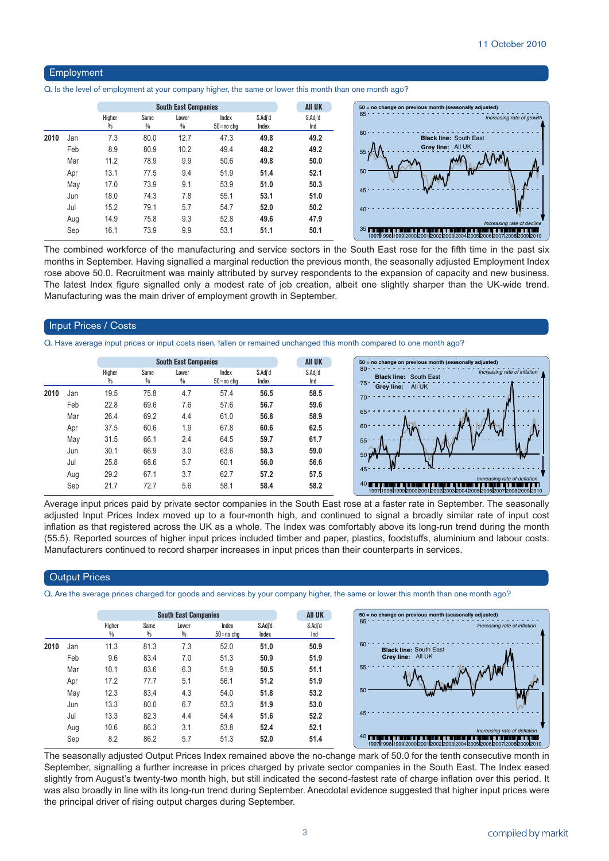#### Employment

Q. Is the level of employment at your company higher, the same or lower this month than one month ago?

|      |     |             | <b>South East Companies</b> |            | <b>All UK</b>      |                  |                |
|------|-----|-------------|-----------------------------|------------|--------------------|------------------|----------------|
|      |     | Higher<br>₩ | Same<br>%                   | Lower<br>% | Index<br>50=no cha | S.Adj'd<br>Index | S.Adj'd<br>Ind |
| 2010 | Jan | 7.3         | 80.0                        | 12.7       | 47.3               | 49.8             | 49.2           |
|      | Feb | 8.9         | 80.9                        | 10.2       | 49.4               | 48.2             | 49.2           |
|      | Mar | 11.2        | 78.9                        | 9.9        | 50.6               | 49.8             | 50.0           |
|      | Apr | 13.1        | 77.5                        | 9.4        | 51.9               | 51.4             | 52.1           |
|      | May | 17.0        | 73.9                        | 9.1        | 53.9               | 51.0             | 50.3           |
|      | Jun | 18.0        | 74.3                        | 7.8        | 55.1               | 53.1             | 51.0           |
|      | Jul | 15.2        | 79.1                        | 5.7        | 54.7               | 52.0             | 50.2           |
|      | Aug | 14.9        | 75.8                        | 9.3        | 52.8               | 49.6             | 47.9           |
|      | Sep | 16.1        | 73.9                        | 9.9        | 53.1               | 51.1             | 50.1           |

The combined workforce of the manufacturing and service sectors in the South East rose for the fifth time in the past six months in September. Having signalled a marginal reduction the previous month, the seasonally adjusted Employment Index rose above 50.0. Recruitment was mainly attributed by survey respondents to the expansion of capacity and new business. The latest Index figure signalled only a modest rate of job creation, albeit one slightly sharper than the UK-wide trend. Manufacturing was the main driver of employment growth in September.

#### Input Prices / Costs

Q. Have average input prices or input costs risen, fallen or remained unchanged this month compared to one month ago?

|      |     |             |           | <b>South East Companies</b> |                        |                  | <b>All UK</b>  | 50 = no change on previous month (seasonally adjusted)                 |
|------|-----|-------------|-----------|-----------------------------|------------------------|------------------|----------------|------------------------------------------------------------------------|
|      |     | Higher<br>₩ | Same<br>% | Lower<br>%                  | Index<br>$50 = no$ chg | S.Adj'd<br>Index | S.Adj'd<br>Ind | 80 <sup>4</sup><br>Increasi<br><b>Black line: South East</b><br>$75 -$ |
| 2010 | Jan | 19.5        | 75.8      | 4.7                         | 57.4                   | 56.5             | 58.5           | Grey line:<br>All UK<br>$70 -$                                         |
|      | Feb | 22.8        | 69.6      | 7.6                         | 57.6                   | 56.7             | 59.6           |                                                                        |
|      | Mar | 26.4        | 69.2      | 4.4                         | 61.0                   | 56.8             | 58.9           | 65                                                                     |
|      | Apr | 37.5        | 60.6      | 1.9                         | 67.8                   | 60.6             | 62.5           | 6ſ                                                                     |
|      | May | 31.5        | 66.1      | 2.4                         | 64.5                   | 59.7             | 61.7           | $55 -$                                                                 |
|      | Jun | 30.1        | 66.9      | 3.0                         | 63.6                   | 58.3             | 59.0           | $50 \frac{1}{20}$                                                      |
|      | Jul | 25.8        | 68.6      | 5.7                         | 60.1                   | 56.0             | 56.6           |                                                                        |
|      | Aug | 29.2        | 67.1      | 3.7                         | 62.7                   | 57.2             | 57.5           | $45 -$<br>Increasin                                                    |
|      | Sep | 21.7        | 72.7      | 5.6                         | 58.1                   | 58.4             | 58.2           | 19971998199920002001200220032004200520062                              |

Average input prices paid by private sector companies in the South East rose at a faster rate in September. The seasonally adjusted Input Prices Index moved up to a four-month high, and continued to signal a broadly similar rate of input cost inflation as that registered across the UK as a whole. The Index was comfortably above its long-run trend during the month (55.5). Reported sources of higher input prices included timber and paper, plastics, foodstuffs, aluminium and labour costs. Manufacturers continued to record sharper increases in input prices than their counterparts in services.

#### **Output Prices**

Q. Are the average prices charged for goods and services by your company higher, the same or lower this month than one month ago?

|      |     |        |      | <b>South East Companies</b> |               |         |  |
|------|-----|--------|------|-----------------------------|---------------|---------|--|
|      |     | Higher | Same | Lower                       | Index         | S.Adj'd |  |
|      |     | %      | %    | %                           | $50 = no$ chg | Index   |  |
| 2010 | Jan | 11.3   | 81.3 | 7.3                         | 52.0          | 51.0    |  |
|      | Feb | 9.6    | 83.4 | 7.0                         | 51.3          | 50.9    |  |
|      | Mar | 10.1   | 83.6 | 6.3                         | 51.9          | 50.5    |  |
|      | Apr | 17.2   | 77.7 | 5.1                         | 56.1          | 51.2    |  |
|      | May | 12.3   | 83.4 | 4.3                         | 54.0          | 51.8    |  |
|      | Jun | 13.3   | 80.0 | 6.7                         | 53.3          | 51.9    |  |
|      | Jul | 13.3   | 82.3 | 4.4                         | 54.4          | 51.6    |  |
|      | Aug | 10.6   | 86.3 | 3.1                         | 53.8          | 52.4    |  |
|      | Sep | 8.2    | 86.2 | 5.7                         | 51.3          | 52.0    |  |

The seasonally adjusted Output Prices Index remained above the no-change mark of 50.0 for the tenth consecutive month in September, signalling a further increase in prices charged by private sector companies in the South East. The Index eased slightly from August's twenty-two month high, but still indicated the second-fastest rate of charge inflation over this period. It was also broadly in line with its long-run trend during September. Anecdotal evidence suggested that higher input prices were the principal driver of rising output charges during September.

1998 1998 1999 2005 2006 2007 2008 2009 201<br>22003 2004 2005 2006 2007 2008 2009 201

*Increasing rate of deflation*

*Increasing rate of inflation*